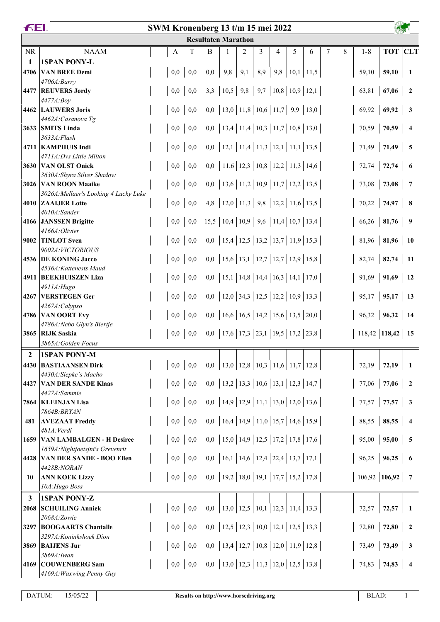| <b>Resultaten Marathon</b>                                                                                                                                                                                                                                                                                                                                                                                                              | <b>TOT</b> CLT           |
|-----------------------------------------------------------------------------------------------------------------------------------------------------------------------------------------------------------------------------------------------------------------------------------------------------------------------------------------------------------------------------------------------------------------------------------------|--------------------------|
|                                                                                                                                                                                                                                                                                                                                                                                                                                         |                          |
| <b>NR</b><br><b>NAAM</b><br>T<br>3<br>B<br>2<br>$\overline{4}$<br>5<br>8<br>$1 - 8$<br>1<br>6<br>7<br>А                                                                                                                                                                                                                                                                                                                                 |                          |
| <b>1SPAN PONY-L</b><br>1                                                                                                                                                                                                                                                                                                                                                                                                                |                          |
| 0,0<br>0,0<br>9,8<br>9,1<br>8,9<br>$9,8$   10,1   11,5<br><b>VAN BREE Demi</b><br>0,0<br>59,10<br>59,10<br>4706                                                                                                                                                                                                                                                                                                                         | - 1                      |
| $4706A$ : Barry                                                                                                                                                                                                                                                                                                                                                                                                                         |                          |
| 3,3   10,5   9,8   9,7   10,8   10,9  <br>12,1<br>0,0<br>63,81<br>67,06<br>4477 REUVERS Jordy<br>0,0                                                                                                                                                                                                                                                                                                                                    | $\overline{\mathbf{2}}$  |
| 4477A:Boy                                                                                                                                                                                                                                                                                                                                                                                                                               |                          |
| $0,0$   13,0   11,8   10,6   11,7   9,9  <br>13,0<br>69,92<br>  69,92<br>0,0<br>4462 LAUWERS Joris<br>0,0                                                                                                                                                                                                                                                                                                                               | $\overline{\mathbf{3}}$  |
| 4462A: Casanova Tg                                                                                                                                                                                                                                                                                                                                                                                                                      |                          |
| 0,0   13,4   11,4   10,3   11,7   10,8   13,0<br>70,59<br>0,0<br>70,59<br>3633 SMITS Linda<br>0,0<br>3633A: Flash                                                                                                                                                                                                                                                                                                                       | $\overline{4}$           |
| 0,0   12,1   11,4   11,3   12,1   11,1   13,5<br>71,49<br>$ 71,49\rangle$<br>0,0<br>0,0<br>4711   KAMPHUIS Indi                                                                                                                                                                                                                                                                                                                         | $\overline{5}$           |
| 4711A:Dvs Little Milton                                                                                                                                                                                                                                                                                                                                                                                                                 |                          |
| 0,0   11,6   12,3   10,8   12,2   11,3   14,6<br>72,74<br>0,0<br>0,0<br>72,74<br>3630 VAN OLST Oniek                                                                                                                                                                                                                                                                                                                                    | - 6                      |
| 3630A: Shyra Silver Shadow                                                                                                                                                                                                                                                                                                                                                                                                              |                          |
| 0,0   13,6   11,2   10,9   11,7   12,2   13,5<br>0,0<br>73,08<br>0,0<br>73,08<br>3026 VAN ROON Maaike                                                                                                                                                                                                                                                                                                                                   | $\overline{7}$           |
| 3026A: Mellaer's Looking 4 Lucky Luke                                                                                                                                                                                                                                                                                                                                                                                                   |                          |
| 4,8   12,0   11,3   9,8   12,2   11,6   13,5<br>$\vert$ 74,97<br>0,0<br>0,0<br>70,22<br>4010 ZAALJER Lotte                                                                                                                                                                                                                                                                                                                              | $\overline{\mathbf{8}}$  |
| 4010A:Sander                                                                                                                                                                                                                                                                                                                                                                                                                            |                          |
| 15,5   10,4   10,9   9,6   11,4   10,7   13,4<br>$66,26$   81,76<br>0,0<br>0,0<br>4166 JANSSEN Brigitte                                                                                                                                                                                                                                                                                                                                 | $\overline{\mathbf{9}}$  |
| 4166A: Olivier<br>0,0   15,4   12,5   13,2   13,7   11,9   15,3<br>$81,96$   81,96<br>0,0<br>0,0<br><b>TINLOT</b> Sven<br>9002                                                                                                                                                                                                                                                                                                          | - 10                     |
| 9002A: VICTORIOUS                                                                                                                                                                                                                                                                                                                                                                                                                       |                          |
| 0,0   15,6   13,1   12,7   12,7   12,9   15,8<br>82,74<br> 82,74 <br>0.0<br>0,0<br>4536 DE KONING Jacco                                                                                                                                                                                                                                                                                                                                 | <b>11</b>                |
| 4536A: Kattenests Maud                                                                                                                                                                                                                                                                                                                                                                                                                  |                          |
| 15,1   14,8   14,4   16,3   14,1   17,0<br>91,69<br>0,0<br>91,69<br>4911 BEEKHUISZEN Liza<br>0,0<br>0,0                                                                                                                                                                                                                                                                                                                                 | <b>12</b>                |
| 4911A: Hugo                                                                                                                                                                                                                                                                                                                                                                                                                             |                          |
| 0,0   12,0   34,3   12,5   12,2   10,9   13,3<br>$95,17$   95,17  <br>0,0<br>4267 VERSTEGEN Ger<br>0,0                                                                                                                                                                                                                                                                                                                                  | <b>13</b>                |
| 4267A:Calypso                                                                                                                                                                                                                                                                                                                                                                                                                           |                          |
| 0,0   16,6   16,5   14,2   15,6   13,5   20,0<br>$96,32$   96,32<br>0,0<br>0,0<br>4786 VAN OORT Evy                                                                                                                                                                                                                                                                                                                                     | -14                      |
| 4786A: Nebo Glyn's Biertje<br>0,0   17,6   17,3   23,1   19,5   17,2   23,8<br>$118,42$ 118,42 15<br>0,0<br>0,0<br>3865 RIJK Saskia                                                                                                                                                                                                                                                                                                     |                          |
| 3865A: Golden Focus                                                                                                                                                                                                                                                                                                                                                                                                                     |                          |
| <b>1SPAN PONY-M</b><br>2                                                                                                                                                                                                                                                                                                                                                                                                                |                          |
| $\vert 13,0 \vert 12,8 \vert 10,3 \vert 11,6 \vert 11,7 \vert 12,8 \vert 13,0 \vert 14,0 \vert 15,0 \vert 16 \vert 17,0 \vert 18,0 \vert 19,0 \vert 10,0 \vert 11,0 \vert 13,0 \vert 14,0 \vert 15,0 \vert 16,0 \vert 17,0 \vert 18,0 \vert 19,0 \vert 19,0 \vert 19,0 \vert 19,0 \vert 19,0 \vert 19,0 \vert 19,0 \vert 19,0 \vert 19,0 \vert 19,0 \vert 19$<br><b>BASTIAANSEN Dirk</b><br>0,0<br>0,0<br>0,0<br>72,19<br>72,19<br>4430 |                          |
| 4430A:Siepke's Macho                                                                                                                                                                                                                                                                                                                                                                                                                    | - 1                      |
| 0,0   13,2   13,3   10,6   13,1   12,3   14,7  <br>77,06<br>0,0<br>77,06<br><b>VAN DER SANDE Klaas</b><br>0,0<br>4427                                                                                                                                                                                                                                                                                                                   | $\overline{\phantom{a}}$ |
| 4427A:Sammie                                                                                                                                                                                                                                                                                                                                                                                                                            |                          |
| 0,0   14,9   12,9   11,1   13,0   12,0   13,6<br>$77,57$ 77,57<br>0,0<br>0,0<br>7864 KLEINJAN Lisa                                                                                                                                                                                                                                                                                                                                      | $\overline{\mathbf{3}}$  |
| 7864B: BRYAN                                                                                                                                                                                                                                                                                                                                                                                                                            |                          |
| 0,0   16,4   14,9   11,0   15,7   14,6   15,9  <br>$88,55$ 88,55<br>0,0<br>0,0<br><b>AVEZAAT Freddy</b><br>481                                                                                                                                                                                                                                                                                                                          | - 4                      |
| 481A: Verdi                                                                                                                                                                                                                                                                                                                                                                                                                             |                          |
| 0,0   15,0   14,9   12,5   17,2   17,8   17,6<br>$95,00$   95,00<br>0,0<br>0,0<br><b>VAN LAMBALGEN - H Desiree</b><br>1659                                                                                                                                                                                                                                                                                                              | $\overline{\phantom{0}}$ |
| 1659A: Nightjoetsjni's Grevenrit<br>0,0   16,1   14,6   12,4   22,4   13,7   17,1<br>$96,25$   96,25<br>0,0<br>4428 VAN DER SANDE - BOO Ellen<br>0,0                                                                                                                                                                                                                                                                                    | $\overline{\phantom{0}}$ |
| 4428B:NORAN                                                                                                                                                                                                                                                                                                                                                                                                                             |                          |
| 0,0   19,2   18,0   19,1   17,7   15,2   17,8<br>$106,92$   106,92  <br>0,0<br>0,0<br><b>ANN KOEK Lizzy</b><br>10                                                                                                                                                                                                                                                                                                                       | $\overline{7}$           |
| 10A: Hugo Boss                                                                                                                                                                                                                                                                                                                                                                                                                          |                          |
| <b>1SPAN PONY-Z</b><br>3                                                                                                                                                                                                                                                                                                                                                                                                                |                          |
| 13,0   12,5   10,1   12,3   11,4   13,3<br>0,0<br>0,0<br>0,0<br><b>SCHUILING Anniek</b><br>72,57<br>72,57<br>2068                                                                                                                                                                                                                                                                                                                       | - 1                      |
| 2068A:Zowie                                                                                                                                                                                                                                                                                                                                                                                                                             |                          |
| 0,0   12,5   12,3   10,0   12,1   12,5   13,3<br>72,80<br>0,0<br>0,0<br>72,80<br>3297 BOOGAARTS Chantalle                                                                                                                                                                                                                                                                                                                               | $\overline{\mathbf{2}}$  |
| 3297A: Koninkshoek Dion                                                                                                                                                                                                                                                                                                                                                                                                                 |                          |
| 0,0   13,4   12,7   10,8   12,0   11,9   12,8  <br>0,0<br>0,0<br>73,49<br>$ 73,49\rangle$<br><b>BAIJENS Jur</b><br>3869                                                                                                                                                                                                                                                                                                                 | $\overline{\mathbf{3}}$  |
| 3869A: Iwan<br>$74,83$   74,83<br>4169 COUWENBERG Sam                                                                                                                                                                                                                                                                                                                                                                                   | $\overline{4}$           |
| 4169A: Waxwing Penny Guy                                                                                                                                                                                                                                                                                                                                                                                                                |                          |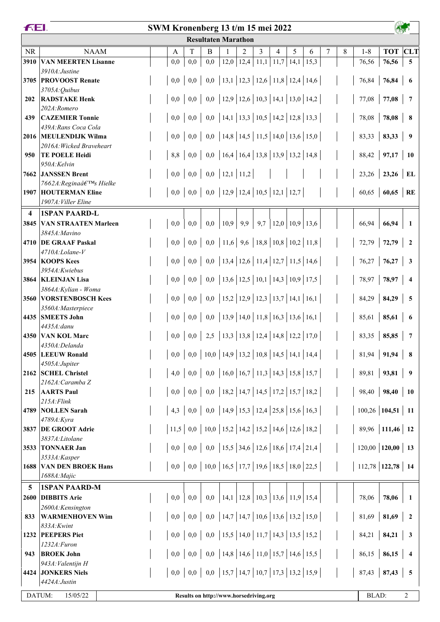|                         | <b>FEI.</b><br>SWM Kronenberg 13 t/m 15 mei 2022      |  |     |      |     |     |                                                |     |   |                                    |   |                                                      |   |   |                        |                     |                         |
|-------------------------|-------------------------------------------------------|--|-----|------|-----|-----|------------------------------------------------|-----|---|------------------------------------|---|------------------------------------------------------|---|---|------------------------|---------------------|-------------------------|
|                         |                                                       |  |     |      |     |     | <b>Resultaten Marathon</b>                     |     |   |                                    |   |                                                      |   |   |                        |                     |                         |
| <b>NR</b>               | <b>NAAM</b>                                           |  | A   | T    |     | B   |                                                | 2   | 3 | $\overline{4}$                     | 5 | 6                                                    | 7 | 8 | $1 - 8$                | <b>TOT</b> CLT      |                         |
| 3910                    | <b>VAN MEERTEN Lisanne</b>                            |  | 0,0 |      | 0,0 | 0,0 |                                                |     |   | $12,0$   12,4   11,1   11,7   14,1 |   | 15,3                                                 |   |   | 76,56                  | 76,56               | 5 <sup>5</sup>          |
|                         | 3910A: Justine                                        |  |     |      |     |     |                                                |     |   |                                    |   |                                                      |   |   |                        |                     |                         |
| 3705                    | <b>PROVOOST Renate</b>                                |  | 0,0 |      | 0,0 |     |                                                |     |   |                                    |   | 0,0   13,1   12,3   12,6   11,8   12,4   14,6        |   |   | 76,84                  | 76,84               | 6                       |
| 202                     | 3705A: Quibus<br><b>RADSTAKE Henk</b>                 |  | 0,0 |      | 0,0 |     |                                                |     |   |                                    |   | 0,0   12,9   12,6   10,3   14,1   13,0   14,2        |   |   | 77,08                  | 77,08               | $\overline{7}$          |
|                         | 202A:Romero                                           |  |     |      |     |     |                                                |     |   |                                    |   |                                                      |   |   |                        |                     |                         |
| 439                     | <b>CAZEMIER Tonnie</b>                                |  |     | 0,0  | 0,0 |     |                                                |     |   |                                    |   | 0,0   14,1   13,3   10,5   14,2   12,8   13,3        |   |   | 78,08                  | 78,08               | 8                       |
|                         | 439A: Rans Coca Cola                                  |  |     |      |     |     |                                                |     |   |                                    |   |                                                      |   |   |                        |                     |                         |
|                         | 2016 MEULENDIJK Wilma                                 |  |     | 0,0  | 0,0 |     |                                                |     |   |                                    |   | 0,0   14,8   14,5   11,5   14,0   13,6   15,0        |   |   | 83,33                  | 83,33               | $\overline{\mathbf{9}}$ |
|                         | 2016A: Wicked Braveheart                              |  |     |      |     |     |                                                |     |   |                                    |   |                                                      |   |   |                        |                     |                         |
| 950                     | <b>TE POELE Heidi</b><br>950A:Kelvin                  |  |     | 8,8  | 0,0 |     |                                                |     |   |                                    |   | 0,0   16,4   16,4   13,8   13,9   13,2   14,8        |   |   | 88,42                  | 97,17               | <b>10</b>               |
|                         | 7662 JANSSEN Brent                                    |  |     | 0,0  | 0,0 |     | $0,0$   12,1   11,2                            |     |   |                                    |   |                                                      |   |   | 23,26                  | $23,26$ EL          |                         |
|                         | 7662A: Regina's Hielke                                |  |     |      |     |     |                                                |     |   |                                    |   |                                                      |   |   |                        |                     |                         |
|                         | <b>1907 HOUTERMAN Eline</b>                           |  |     | 0,0  | 0,0 |     | 0,0   12,9   12,4   10,5   12,1   12,7         |     |   |                                    |   |                                                      |   |   | 60,65                  | $60,65$ RE          |                         |
|                         | 1907A: Viller Eline                                   |  |     |      |     |     |                                                |     |   |                                    |   |                                                      |   |   |                        |                     |                         |
| $\overline{\mathbf{4}}$ | <b>1SPAN PAARD-L</b>                                  |  |     |      |     |     |                                                |     |   |                                    |   |                                                      |   |   |                        |                     |                         |
| 3845                    | <b>VAN STRAATEN Marleen</b>                           |  | 0,0 |      | 0,0 | 0,0 | 10,9                                           | 9,9 |   | $9,7$   12,0   10,9   13,6         |   |                                                      |   |   | 66,94                  | 66,94               | -1                      |
|                         | 3845A: Mavino<br>4710 DE GRAAF Paskal                 |  |     | 0,0  | 0,0 |     |                                                |     |   |                                    |   | 0,0   11,6   9,6   18,8   10,8   10,2   11,8         |   |   | 72,79                  | $72,79$ 2           |                         |
|                         | 4710A:Lolane-V                                        |  |     |      |     |     |                                                |     |   |                                    |   |                                                      |   |   |                        |                     |                         |
|                         | 3954 KOOPS Kees                                       |  |     | 0,0  | 0,0 |     |                                                |     |   |                                    |   | 0,0   13,4   12,6   11,4   12,7   11,5   14,6        |   |   | 76,27                  | 76,27               | $\overline{\mathbf{3}}$ |
|                         | 3954A: Kwiebus                                        |  |     |      |     |     |                                                |     |   |                                    |   |                                                      |   |   |                        |                     |                         |
| 3864                    | <b>KLEINJAN Lisa</b>                                  |  | 0,0 |      | 0,0 |     |                                                |     |   |                                    |   | 0,0   13,6   12,5   10,1   14,3   10,9   17,5        |   |   | 78,97                  | 78,97               | $\overline{4}$          |
|                         | 3864A: Kylian - Woma<br><b>3560 VORSTENBOSCH Kees</b> |  | 0,0 |      | 0,0 |     |                                                |     |   |                                    |   | 0,0   15,2   12,9   12,3   13,7   14,1   16,1        |   |   | 84,29                  | 84,29               | 5                       |
|                         | 3560A: Masterpiece                                    |  |     |      |     |     |                                                |     |   |                                    |   |                                                      |   |   |                        |                     |                         |
|                         | 4435 SMEETS John                                      |  |     | 0,0  | 0,0 |     |                                                |     |   |                                    |   | 0,0   13,9   14,0   11,8   16,3   13,6   16,1        |   |   | 85,61                  | 85,61               | -6                      |
|                         | 4435A:danu                                            |  |     |      |     |     |                                                |     |   |                                    |   |                                                      |   |   |                        |                     |                         |
| 4350                    | <b>VAN KOL Marc</b>                                   |  |     | 0,0  | 0,0 |     |                                                |     |   |                                    |   | 2,5   13,3   13,8   12,4   14,8   12,2   17,0        |   |   | 83,35                  | 85,85               | 7                       |
|                         | 4350A:Delanda                                         |  |     |      |     |     | 10,0   14,9   13,2   10,8   14,5   14,1   14,4 |     |   |                                    |   |                                                      |   |   |                        |                     |                         |
|                         | 4505 LEEUW Ronald<br>4505A:Jupiter                    |  | 0,0 |      | 0,0 |     |                                                |     |   |                                    |   |                                                      |   |   | 81,94                  | 91,94               | 8                       |
|                         | 2162 SCHEL Christel                                   |  | 4,0 |      | 0,0 |     |                                                |     |   |                                    |   | 0,0   16,0   16,7   11,3   14,3   15,8   15,7        |   |   | 89,81                  | 93,81               | 9                       |
|                         | $2162A$ : Caramba Z                                   |  |     |      |     |     |                                                |     |   |                                    |   |                                                      |   |   |                        |                     |                         |
| 215                     | <b>AARTS Paul</b>                                     |  | 0,0 |      | 0,0 |     |                                                |     |   |                                    |   | 0,0   18,2   14,7   14,5   17,2   15,7   18,2        |   |   | 98,40                  | 98,40               | <b>10</b>               |
|                         | $215A$ : Flink                                        |  |     |      |     |     |                                                |     |   |                                    |   |                                                      |   |   |                        |                     |                         |
| 4789                    | <b>NOLLEN</b> Sarah<br>4789A:Kyra                     |  | 4,3 |      | 0,0 |     |                                                |     |   |                                    |   | 0,0   14,9   15,3   12,4   25,8   15,6   16,3        |   |   | $100,26$ 104,51 11     |                     |                         |
|                         | 3837 DE GROOT Adrie                                   |  |     | 11,5 | 0,0 |     |                                                |     |   |                                    |   | 10,0   15,2   14,2   15,2   14,6   12,6   18,2       |   |   |                        | 89,96   111,46   12 |                         |
|                         | 3837A:Litolane                                        |  |     |      |     |     |                                                |     |   |                                    |   |                                                      |   |   |                        |                     |                         |
|                         | 3533 TONNAER Jan                                      |  | 0,0 |      | 0,0 |     |                                                |     |   |                                    |   | 0,0   15,5   34,6   12,6   18,6   17,4   21,4        |   |   | $120,00$   120,00   13 |                     |                         |
|                         | 3533A:Kasper                                          |  |     |      |     |     |                                                |     |   |                                    |   |                                                      |   |   |                        |                     |                         |
| 1688                    | <b>VAN DEN BROEK Hans</b>                             |  |     | 0,0  |     |     |                                                |     |   |                                    |   | 0,0   10,0   16,5   17,7   19,6   18,5   18,0   22,5 |   |   | $112,78$ 122,78 14     |                     |                         |
|                         | 1688A: Majic                                          |  |     |      |     |     |                                                |     |   |                                    |   |                                                      |   |   |                        |                     |                         |
| 5<br>2600               | <b>1SPAN PAARD-M</b><br><b>DIBBITS Arie</b>           |  | 0,0 |      | 0,0 | 0,0 | 14,1   12,8   10,3   13,6   11,9   15,4        |     |   |                                    |   |                                                      |   |   | 78,06                  | 78,06               | 1                       |
|                         | 2600A: Kensington                                     |  |     |      |     |     |                                                |     |   |                                    |   |                                                      |   |   |                        |                     |                         |
| 833                     | <b>WARMENHOVEN Wim</b>                                |  | 0,0 |      | 0,0 |     |                                                |     |   |                                    |   | 0,0   14,7   14,7   10,6   13,6   13,2   15,0        |   |   | 81,69                  | 81,69               | $\overline{2}$          |
|                         | 833A:Kwint                                            |  |     |      |     |     |                                                |     |   |                                    |   |                                                      |   |   |                        |                     |                         |
|                         | 1232 PEEPERS Piet                                     |  | 0,0 |      | 0,0 |     |                                                |     |   |                                    |   | 0,0   15,5   14,0   11,7   14,3   13,5   15,2        |   |   | 84,21                  | 84,21               | $\mathbf{3}$            |
|                         | 1232A:Furon                                           |  |     |      |     |     |                                                |     |   |                                    |   |                                                      |   |   |                        |                     |                         |
| 943                     | <b>BROEK John</b><br>943A: Valentijn H                |  | 0,0 |      | 0,0 | 0,0 |                                                |     |   |                                    |   | 14,8   14,6   11,0   15,7   14,6   15,5              |   |   | 86,15                  | 86,15               | 4                       |
| 4424                    | <b>JONKERS Niels</b>                                  |  |     | 0,0  | 0,0 |     |                                                |     |   |                                    |   | 0,0   15,7   14,7   10,7   17,3   13,2   15,9        |   |   | 87,43                  | 87,43               | 5                       |
|                         | 4424A: Justin                                         |  |     |      |     |     |                                                |     |   |                                    |   |                                                      |   |   |                        |                     |                         |
| DATUM:                  | 15/05/22                                              |  |     |      |     |     | Results on http://www.horsedriving.org         |     |   |                                    |   |                                                      |   |   | BLAD:                  |                     | 2                       |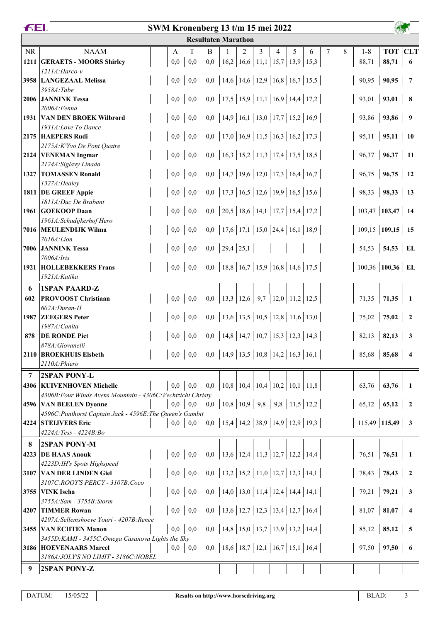|           | <b>FEI.</b><br>SWM Kronenberg 13 t/m 15 mei 2022                                       |         |     |                            |                                                                                                                                                                                                                                                                                                                                                               |   |   |                                            |   |      |   |   |                        |                |                         |
|-----------|----------------------------------------------------------------------------------------|---------|-----|----------------------------|---------------------------------------------------------------------------------------------------------------------------------------------------------------------------------------------------------------------------------------------------------------------------------------------------------------------------------------------------------------|---|---|--------------------------------------------|---|------|---|---|------------------------|----------------|-------------------------|
|           |                                                                                        |         |     | <b>Resultaten Marathon</b> |                                                                                                                                                                                                                                                                                                                                                               |   |   |                                            |   |      |   |   |                        |                |                         |
| <b>NR</b> | <b>NAAM</b>                                                                            | A       | T   | B                          |                                                                                                                                                                                                                                                                                                                                                               | 2 | 3 | 4                                          | 5 | 6    | 7 | 8 | $1 - 8$                | <b>TOT</b> CLT |                         |
| 1211      | <b>GERAETS - MOORS Shirley</b>                                                         | 0,0     | 0,0 | 0,0                        |                                                                                                                                                                                                                                                                                                                                                               |   |   | $16,2$   $16,6$   $11,1$   $15,7$   $13,9$ |   | 15,3 |   |   | 88,71                  | 88,71          | 6                       |
|           | $1211A$ : Harco-v                                                                      |         |     |                            |                                                                                                                                                                                                                                                                                                                                                               |   |   |                                            |   |      |   |   |                        |                |                         |
|           | 3958 LANGEZAAL Melissa                                                                 | 0,0     | 0,0 |                            | 0,0   14,6   14,6   12,9   16,8   16,7   15,5                                                                                                                                                                                                                                                                                                                 |   |   |                                            |   |      |   |   | 90,95                  | 90,95          | $\overline{7}$          |
|           | 3958A:Tabe<br><b>2006 JANNINK Tessa</b>                                                | 0,0     | 0,0 |                            | 0,0   17,5   15,9   11,1   16,9   14,4   17,2                                                                                                                                                                                                                                                                                                                 |   |   |                                            |   |      |   |   | 93,01                  | 93,01          | 8                       |
|           | 2006A:Fenna                                                                            |         |     |                            |                                                                                                                                                                                                                                                                                                                                                               |   |   |                                            |   |      |   |   |                        |                |                         |
| 1931      | <b>VAN DEN BROEK Wilbrord</b>                                                          | 0,0     | 0,0 |                            | 0,0   14,9   16,1   13,0   17,7   15,2   16,9                                                                                                                                                                                                                                                                                                                 |   |   |                                            |   |      |   |   | 93,86                  | 93,86          | 9                       |
|           | 1931A:Love To Dance                                                                    |         |     |                            |                                                                                                                                                                                                                                                                                                                                                               |   |   |                                            |   |      |   |   |                        |                |                         |
|           | 2175 HAEPERS Rudi                                                                      | 0,0     | 0,0 |                            | 0,0   17,0   16,9   11,5   16,3   16,2   17,3                                                                                                                                                                                                                                                                                                                 |   |   |                                            |   |      |   |   | 95,11                  | 95,11          | <b>10</b>               |
|           | 2175A: K'Yvo De Pont Quatre<br>2124 VENEMAN Ingmar                                     | 0,0     | 0,0 |                            | 0,0   16,3   15,2   11,3   17,4   17,5   18,5                                                                                                                                                                                                                                                                                                                 |   |   |                                            |   |      |   |   | 96,37                  | 96,37          | <b>11</b>               |
|           | 2124A: Siglavy Linada                                                                  |         |     |                            |                                                                                                                                                                                                                                                                                                                                                               |   |   |                                            |   |      |   |   |                        |                |                         |
| 1327      | <b>TOMASSEN Ronald</b>                                                                 | 0,0     | 0,0 |                            | 0,0   14,7   19,6   12,0   17,3   16,4   16,7                                                                                                                                                                                                                                                                                                                 |   |   |                                            |   |      |   |   | 96,75                  | 96,75          | <b>12</b>               |
|           | 1327A: Healey                                                                          |         |     |                            |                                                                                                                                                                                                                                                                                                                                                               |   |   |                                            |   |      |   |   |                        |                |                         |
|           | 1811 DE GREEF Appie                                                                    | 0,0     | 0,0 |                            | 0,0   17,3   16,5   12,6   19,9   16,5   15,6                                                                                                                                                                                                                                                                                                                 |   |   |                                            |   |      |   |   | 98,33                  | 98,33          | 13                      |
| 1961      | 1811A: Duc De Brabant<br><b>GOEKOOP Daan</b>                                           | 0,0     | 0,0 |                            | 0,0 20,5 18,6 14,1 17,7 15,4 17,2                                                                                                                                                                                                                                                                                                                             |   |   |                                            |   |      |   |   | $103,47$ 103,47        |                | 14                      |
|           | 1961A: Schadijkerhof Hero                                                              |         |     |                            |                                                                                                                                                                                                                                                                                                                                                               |   |   |                                            |   |      |   |   |                        |                |                         |
|           | 7016 MEULENDIJK Wilma                                                                  | 0,0     | 0,0 |                            | 0,0   17,6   17,1   15,0   24,4   16,1   18,9                                                                                                                                                                                                                                                                                                                 |   |   |                                            |   |      |   |   | $109,15$ 109,15 15     |                |                         |
|           | 7016A:Lion                                                                             |         |     |                            |                                                                                                                                                                                                                                                                                                                                                               |   |   |                                            |   |      |   |   |                        |                |                         |
| 7006      | <b>JANNINK Tessa</b>                                                                   | 0,0     | 0,0 |                            | $0,0$   29,4   25,1                                                                                                                                                                                                                                                                                                                                           |   |   |                                            |   |      |   |   | 54,53                  | 54,53          | EL                      |
|           | 7006A: Iris<br><b>1921 HOLLEBEKKERS Frans</b>                                          | 0,0     | 0,0 |                            | 0,0   18,8   16,7   15,9   16,8   14,6   17,5                                                                                                                                                                                                                                                                                                                 |   |   |                                            |   |      |   |   | $100,36$ 100,36 EL     |                |                         |
|           | 1921A: Katika                                                                          |         |     |                            |                                                                                                                                                                                                                                                                                                                                                               |   |   |                                            |   |      |   |   |                        |                |                         |
| 6         | <b>1SPAN PAARD-Z</b>                                                                   |         |     |                            |                                                                                                                                                                                                                                                                                                                                                               |   |   |                                            |   |      |   |   |                        |                |                         |
| 602       | <b>PROVOOST Christiaan</b>                                                             | 0,0     | 0,0 | 0,0                        | $\vert 13,3 \vert 12,6 \vert 9,7 \vert 12,0 \vert 11,2 \vert 12,5$                                                                                                                                                                                                                                                                                            |   |   |                                            |   |      |   |   | 71,35                  | 71,35          | $\mathbf{1}$            |
|           | $602A: Duran-H$                                                                        |         |     |                            |                                                                                                                                                                                                                                                                                                                                                               |   |   |                                            |   |      |   |   |                        |                |                         |
| 1987      | <b>ZEEGERS</b> Peter                                                                   | 0,0     | 0,0 |                            | 0,0   13,6   13,5   10,5   12,8   11,6   13,0                                                                                                                                                                                                                                                                                                                 |   |   |                                            |   |      |   |   | 75,02                  | 75,02          | $\overline{2}$          |
| 878       | 1987A: Canita<br><b>DE RONDE Piet</b>                                                  | 0,0     | 0,0 |                            | 0,0   14,8   14,7   10,7   15,3   12,3   14,3                                                                                                                                                                                                                                                                                                                 |   |   |                                            |   |      |   |   | 82,13                  | 82,13          | 3                       |
|           | 878A: Giovanelli                                                                       |         |     |                            |                                                                                                                                                                                                                                                                                                                                                               |   |   |                                            |   |      |   |   |                        |                |                         |
|           | 2110 BROEKHUIS Elsbeth                                                                 |         |     |                            |                                                                                                                                                                                                                                                                                                                                                               |   |   |                                            |   |      |   |   | $85,68$   85,68        |                | 4                       |
|           | 2110A: Phiero                                                                          |         |     |                            |                                                                                                                                                                                                                                                                                                                                                               |   |   |                                            |   |      |   |   |                        |                |                         |
| 7         | 2SPAN PONY-L                                                                           |         |     |                            |                                                                                                                                                                                                                                                                                                                                                               |   |   |                                            |   |      |   |   |                        |                |                         |
|           | <b>4306   KUIVENHOVEN Michelle</b>                                                     | 0,0     | 0,0 | $_{0,0}$                   | $\vert 10,8 \vert 10,4 \vert 10,4 \vert 10,2 \vert 10,1 \vert 11,8 \vert 10,1 \vert 11,8 \vert 11,8 \vert 11,8 \vert 11,8 \vert 11,8 \vert 11,8 \vert 11,8 \vert 11,8 \vert 11,8 \vert 11,8 \vert 11,8 \vert 11,8 \vert 11,8 \vert 11,8 \vert 11,8 \vert 11,8 \vert 11,8 \vert 11,8 \vert 11,8 \vert 11,8 \vert 11,8 \vert 11,8 \vert 11,8 \vert 11,8 \vert $ |   |   |                                            |   |      |   |   | 63,76                  | 63,76          | -1                      |
|           | 4306B: Four Winds Avens Mountain - 4306C: Vechtzicht Christy<br>4596 VAN BEELEN Dyonne | 0,0     | 0,0 | 0,0                        | $\vert 10,8 \vert 10,9 \vert 9,8 \vert 9,8 \vert 11,5 \vert 12,2 \vert$                                                                                                                                                                                                                                                                                       |   |   |                                            |   |      |   |   | 65,12                  | 65,12          | $\overline{2}$          |
|           | 4596C: Punthorst Captain Jack - 4596E: The Queen's Gambit                              |         |     |                            |                                                                                                                                                                                                                                                                                                                                                               |   |   |                                            |   |      |   |   |                        |                |                         |
|           | 4224 STELJVERS Eric                                                                    | $0.0\,$ | 0,0 |                            | 0,0   15,4   14,2   38,9   14,9   12,9   19,3                                                                                                                                                                                                                                                                                                                 |   |   |                                            |   |      |   |   | 115,49   <b>115,49</b> |                | $\overline{\mathbf{3}}$ |
|           | 4224A: Tess - 4224B: Bo                                                                |         |     |                            |                                                                                                                                                                                                                                                                                                                                                               |   |   |                                            |   |      |   |   |                        |                |                         |
| 8         | 2SPAN PONY-M                                                                           |         |     |                            |                                                                                                                                                                                                                                                                                                                                                               |   |   |                                            |   |      |   |   |                        |                |                         |
| 4223      | <b>DE HAAS Anouk</b>                                                                   | 0,0     | 0,0 | 0,0                        | 13,6   12,4   11,3   12,7   12,2   14,4                                                                                                                                                                                                                                                                                                                       |   |   |                                            |   |      |   |   | 76,51                  | 76,51          | -1                      |
|           | 4223D:IH's Spots Highspeed<br>3107 VAN DER LINDEN Giel                                 | 0,0     | 0,0 |                            | 0,0   13,2   15,2   11,0   12,7   12,3   14,1                                                                                                                                                                                                                                                                                                                 |   |   |                                            |   |      |   |   | 78,43                  | 78,43          | 2                       |
|           | 3107C:ROOY'S PERCY - 3107B:Coco                                                        |         |     |                            |                                                                                                                                                                                                                                                                                                                                                               |   |   |                                            |   |      |   |   |                        |                |                         |
|           | 3755 VINK Ischa                                                                        | 0,0     | 0,0 |                            | 0,0   14,0   13,0   11,4   12,4   14,4   14,1                                                                                                                                                                                                                                                                                                                 |   |   |                                            |   |      |   |   | 79,21                  | 79,21          | 3                       |
|           | 3755A: Sam - 3755B: Storm                                                              |         |     |                            |                                                                                                                                                                                                                                                                                                                                                               |   |   |                                            |   |      |   |   |                        |                |                         |
| 4207      | <b>TIMMER Rowan</b>                                                                    | 0,0     | 0,0 |                            | 0,0   13,6   12,7   12,3   13,4   12,7   16,4                                                                                                                                                                                                                                                                                                                 |   |   |                                            |   |      |   |   | 81,07                  | 81,07          | 4                       |
|           | 4207A:Sellemshoeve Youri - 4207B:Renee<br><b>3455 VAN ECHTEN Manon</b>                 | 0,0     | 0,0 |                            | 0,0   14,8   15,0   13,7   13,9   13,2   14,4                                                                                                                                                                                                                                                                                                                 |   |   |                                            |   |      |   |   | 85,12                  | 85,12          | 5                       |
|           | 3455D: KAMI - 3455C: Omega Casanova Lights the Sky                                     |         |     |                            |                                                                                                                                                                                                                                                                                                                                                               |   |   |                                            |   |      |   |   |                        |                |                         |
|           | 3186  HOEVENAARS Marcel                                                                | 0,0     | 0,0 |                            | 0,0   18,6   18,7   12,1   16,7   15,1   16,4                                                                                                                                                                                                                                                                                                                 |   |   |                                            |   |      |   |   | 97,50                  | 97,50          | 6                       |
|           | 3186A: JOLY'S NO LIMIT - 3186C: NOBEL                                                  |         |     |                            |                                                                                                                                                                                                                                                                                                                                                               |   |   |                                            |   |      |   |   |                        |                |                         |
| 9         | 2SPAN PONY-Z                                                                           |         |     |                            |                                                                                                                                                                                                                                                                                                                                                               |   |   |                                            |   |      |   |   |                        |                |                         |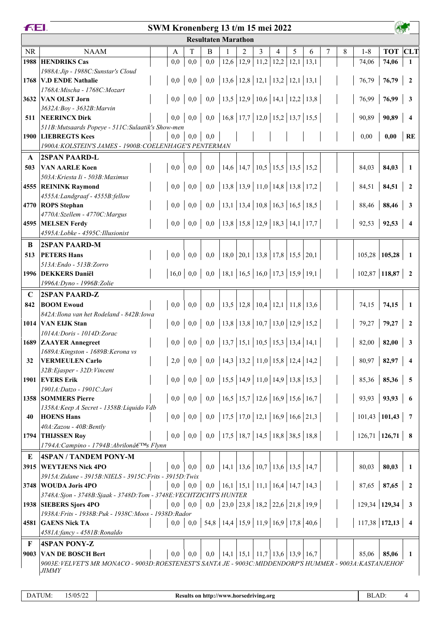|             | <b>FEL</b><br>SWM Kronenberg 13 t/m 15 mei 2022                                                         |              |     |                                                                                          |                                                 |                                           |                             |   |   |      |   |   |                   |                        |                          |
|-------------|---------------------------------------------------------------------------------------------------------|--------------|-----|------------------------------------------------------------------------------------------|-------------------------------------------------|-------------------------------------------|-----------------------------|---|---|------|---|---|-------------------|------------------------|--------------------------|
|             |                                                                                                         |              |     | <b>Resultaten Marathon</b>                                                               |                                                 |                                           |                             |   |   |      |   |   |                   |                        |                          |
| <b>NR</b>   | <b>NAAM</b>                                                                                             | A            | T   | B                                                                                        |                                                 | $\overline{2}$                            | 3                           | 4 | 5 | 6    | 7 | 8 | $1 - 8$           | <b>TOT</b>             | <b>CLT</b>               |
| 1988        | <b>HENDRIKS Cas</b>                                                                                     | 0,0          | 0,0 | 0,0                                                                                      | 12,6                                            |                                           | $12,9$   11,2   12,2   12,1 |   |   | 13,1 |   |   | 74,06             | 74,06                  | $\mathbf{1}$             |
|             | 1988A: Jip - 1988C: Sunstar's Cloud                                                                     |              |     |                                                                                          |                                                 |                                           |                             |   |   |      |   |   |                   |                        |                          |
| 1768        | <b>V.D ENDE Nathalie</b><br>1768A: Mischa - 1768C: Mozart                                               | 0,0          | 0,0 |                                                                                          | 0,0   13,6   12,8   12,1   13,2   12,1   13,1   |                                           |                             |   |   |      |   |   | 76,79             | 76,79                  | $\overline{2}$           |
|             | 3632 VAN OLST Jorn                                                                                      | 0,0          | 0,0 | 0,0                                                                                      | 13,5   12,9   10,6   14,1   12,2   13,8         |                                           |                             |   |   |      |   |   | 76,99             | 76,99                  | $\overline{\mathbf{3}}$  |
|             | 3632A: Boy - 3632B: Marvin                                                                              |              |     |                                                                                          |                                                 |                                           |                             |   |   |      |   |   |                   |                        |                          |
| 511         | <b>NEERINCX Dirk</b>                                                                                    | 0,0          | 0,0 |                                                                                          | 0,0   16,8   17,7   12,0   15,2   13,7   15,5   |                                           |                             |   |   |      |   |   | 90,89             | 90,89                  | $\overline{4}$           |
|             | 511B: Mutsaards Popeye - 511C: Sulaatik's Show-men                                                      |              |     |                                                                                          |                                                 |                                           |                             |   |   |      |   |   |                   |                        |                          |
| 1900        | <b>LIEBREGTS Kees</b><br>1900A: KOLSTEIN'S JAMES - 1900B: COELENHAGE'S PENTERMAN                        | 0,0          | 0,0 | 0,0                                                                                      |                                                 |                                           |                             |   |   |      |   |   | 0,00              | 0,00                   | <b>RE</b>                |
|             | <b>2SPAN PAARD-L</b>                                                                                    |              |     |                                                                                          |                                                 |                                           |                             |   |   |      |   |   |                   |                        |                          |
| A<br>503    | <b>VAN AARLE Koen</b>                                                                                   | 0,0          | 0,0 | 0,0                                                                                      | 14,6 14,7 10,5 15,5 13,5 15,2                   |                                           |                             |   |   |      |   |   | 84,03             | 84,03                  | -1                       |
|             | 503A: Kriesta Ii - 503B: Maximus                                                                        |              |     |                                                                                          |                                                 |                                           |                             |   |   |      |   |   |                   |                        |                          |
|             | 4555 REININK Raymond                                                                                    | 0,0          | 0,0 |                                                                                          | 0,0   13,8   13,9   11,0   14,8   13,8   17,2   |                                           |                             |   |   |      |   |   |                   | $84,51$   <b>84,51</b> | $\overline{\mathbf{c}}$  |
|             | 4555A:Landgraaf - 4555B:fellow                                                                          |              |     |                                                                                          |                                                 |                                           |                             |   |   |      |   |   |                   |                        |                          |
|             | 4770 ROPS Stephan                                                                                       | $0.0\,$      | 0,0 |                                                                                          | 0,0   13,1   13,4   10,8   16,3   16,5   18,5   |                                           |                             |   |   |      |   |   | 88,46             | 88,46                  | $\overline{\mathbf{3}}$  |
| 4595        | 4770A:Szellem - 4770C:Margus<br><b>MELSEN Ferdy</b>                                                     | 0,0          |     | $0,0$   0,0   13,8   15,8   12,9   18,3   14,1   17,7                                    |                                                 |                                           |                             |   |   |      |   |   | 92,53             | 92,53                  | $\overline{4}$           |
|             | 4595A:Lobke - 4595C:Illusionist                                                                         |              |     |                                                                                          |                                                 |                                           |                             |   |   |      |   |   |                   |                        |                          |
| B           | <b>2SPAN PAARD-M</b>                                                                                    |              |     |                                                                                          |                                                 |                                           |                             |   |   |      |   |   |                   |                        |                          |
| 513         | <b>PETERS Hans</b>                                                                                      | 0,0          | 0,0 | 0,0                                                                                      |                                                 | $18,0$   20,1   13,8   17,8   15,5   20,1 |                             |   |   |      |   |   |                   | $105,28$   105,28      | $\blacksquare$           |
|             | 513A: Endo - 513B: Zorro                                                                                |              |     |                                                                                          |                                                 |                                           |                             |   |   |      |   |   |                   |                        |                          |
|             | 1996 DEKKERS Daniël                                                                                     | 16,0         | 0,0 |                                                                                          | 0,0   18,1   16,5   16,0   17,3   15,9   19,1   |                                           |                             |   |   |      |   |   |                   | $102,87$ 118,87        | $\overline{\mathbf{2}}$  |
|             | 1996A: Dyno - 1996B: Zolie                                                                              |              |     |                                                                                          |                                                 |                                           |                             |   |   |      |   |   |                   |                        |                          |
| $\mathbf C$ | <b>2SPAN PAARD-Z</b>                                                                                    |              |     |                                                                                          |                                                 |                                           |                             |   |   |      |   |   |                   |                        |                          |
| 842         | <b>BOOM Ewoud</b>                                                                                       | 0,0          | 0,0 | 0,0                                                                                      |                                                 | 13,5   12,8   10,4   12,1   11,8   13,6   |                             |   |   |      |   |   | 74,15             | 74,15                  | -1                       |
|             | 842A: Ilona van het Rodeland - 842B: Iowa<br>1014 VAN EIJK Stan                                         | 0,0          | 0,0 |                                                                                          | 0,0   13,8   13,8   10,7   13,0   12,9   15,2   |                                           |                             |   |   |      |   |   | 79,27             | 79,27                  | $\overline{2}$           |
|             | 1014A: Doris - 1014D: Zorac                                                                             |              |     |                                                                                          |                                                 |                                           |                             |   |   |      |   |   |                   |                        |                          |
|             | 1689 ZAAYER Annegreet                                                                                   | 0,0          |     | $0,0$   0,0   13,7   15,1   10,5   15,3   13,4   14,1                                    |                                                 |                                           |                             |   |   |      |   |   |                   | 82,00   <b>82,00</b>   | 3                        |
|             | 1689A: Kingston - 1689B: Kerona vs                                                                      |              |     |                                                                                          |                                                 |                                           |                             |   |   |      |   |   |                   |                        |                          |
| 32          | <b>VERMEULEN Carlo</b>                                                                                  |              |     | 2,0   0,0   0,0   14,3   13,2   11,0   15,8   12,4   14,2                                |                                                 |                                           |                             |   |   |      |   |   |                   | $80,97$   82,97        | $\overline{4}$           |
|             | 32B: Ejasper - 32D: Vincent<br>1901 EVERS Erik                                                          | 0,0          |     | $0,0 \mid 0,0 \mid 15,5 \mid 14,9 \mid 11,0 \mid 14,9 \mid 13,8 \mid 15,3 \mid$          |                                                 |                                           |                             |   |   |      |   |   |                   | $85,36$   85,36        | $\overline{\phantom{0}}$ |
|             | 1901A: Datzo - 1901C: Jari                                                                              |              |     |                                                                                          |                                                 |                                           |                             |   |   |      |   |   |                   |                        |                          |
|             | 1358 SOMMERS Pierre                                                                                     |              |     | $0,0 \mid 0,0 \mid 0,0 \mid 16,5 \mid 15,7 \mid 12,6 \mid 16,9 \mid 15,6 \mid 16,7 \mid$ |                                                 |                                           |                             |   |   |      |   |   |                   | $93,93$ 93,93          | $6\phantom{.}6$          |
|             | 1358A: Keep A Secret - 1358B: Liquido Vdb                                                               |              |     |                                                                                          |                                                 |                                           |                             |   |   |      |   |   |                   |                        |                          |
| 40          | <b>HOENS Hans</b>                                                                                       |              |     | $0,0 \mid 0,0 \mid 0,0 \mid 17,5 \mid 17,0 \mid 12,1 \mid 16,9 \mid 16,6 \mid 21,3 \mid$ |                                                 |                                           |                             |   |   |      |   |   | $101,43$ 101,43 7 |                        |                          |
|             | 40A:Zazou - 40B:Bently<br>1794 THIJSSEN Roy                                                             |              |     | $0,0 \mid 0,0 \mid 0,0 \mid 17,5 \mid 18,7 \mid 14,5 \mid 18,8 \mid 38,5 \mid 18,8 \mid$ |                                                 |                                           |                             |   |   |      |   |   |                   | $126,71$   126,71   8  |                          |
|             | 1794A: Campino - 1794B: Abrilon's Flynn                                                                 |              |     |                                                                                          |                                                 |                                           |                             |   |   |      |   |   |                   |                        |                          |
| E           | 4SPAN / TANDEM PONY-M                                                                                   |              |     |                                                                                          |                                                 |                                           |                             |   |   |      |   |   |                   |                        |                          |
|             | 3915   WEYTJENS Nick 4PO                                                                                | $0.0\,$      | 0.0 | 0,0                                                                                      | $  14,1   13,6   10,7   13,6   13,5   14,7$     |                                           |                             |   |   |      |   |   | 80,03             | 80,03                  | -1                       |
|             | 3915A: Zidane - 3915B: NIELS - 3915C: Frits - 3915D: Twix                                               |              |     |                                                                                          |                                                 |                                           |                             |   |   |      |   |   |                   |                        |                          |
|             | 3748 WOUDA Joris 4PO                                                                                    | 0.0          | 0,0 |                                                                                          | $0,0$   16,1   15,1   11,1   16,4   14,7   14,3 |                                           |                             |   |   |      |   |   |                   | $87,65$   87,65        | $\overline{\mathbf{2}}$  |
|             | 3748A:Sjon - 3748B:Sjaak - 3748D:Tom - 3748E:VECHTZICHT'S HUNTER                                        |              |     |                                                                                          |                                                 |                                           |                             |   |   |      |   |   |                   |                        |                          |
|             | 1938 SIEBERS Sjors 4PO<br>1938A: Frits - 1938B: Puk - 1938C: Moos - 1938D: Rador                        | 0.0          | 0,0 |                                                                                          | 0,0 23,0 23,8 18,2 22,6 21,8 19,9               |                                           |                             |   |   |      |   |   | $129,34$ 129,34   |                        | $\overline{\mathbf{3}}$  |
|             | 4581 GAENS Nick TA                                                                                      | 0,0          |     | $0,0$   54,8   14,4   15,9   11,9   16,9   17,8   40,6                                   |                                                 |                                           |                             |   |   |      |   |   |                   | $117,38$ 172,13 4      |                          |
|             | 4581A:fancy - 4581B:Ronaldo                                                                             |              |     |                                                                                          |                                                 |                                           |                             |   |   |      |   |   |                   |                        |                          |
| F           | <b>4SPAN PONY-Z</b>                                                                                     |              |     |                                                                                          |                                                 |                                           |                             |   |   |      |   |   |                   |                        |                          |
| 9003        | <b>VAN DE BOSCH Bert</b>                                                                                | $_{\rm 0,0}$ | 0,0 | 0,0                                                                                      | 14,1 15,1 11,7 13,6 13,9 16,7                   |                                           |                             |   |   |      |   |   | 85,06             | 85,06                  | -1                       |
|             | 9003E: VELVET'S MR MONACO - 9003D:ROESTENEST'S SANTA JE - 9003C:MIDDENDORP'S HUMMER - 9003A:KASTANJEHOF |              |     |                                                                                          |                                                 |                                           |                             |   |   |      |   |   |                   |                        |                          |
|             | <i>JIMMY</i>                                                                                            |              |     |                                                                                          |                                                 |                                           |                             |   |   |      |   |   |                   |                        |                          |